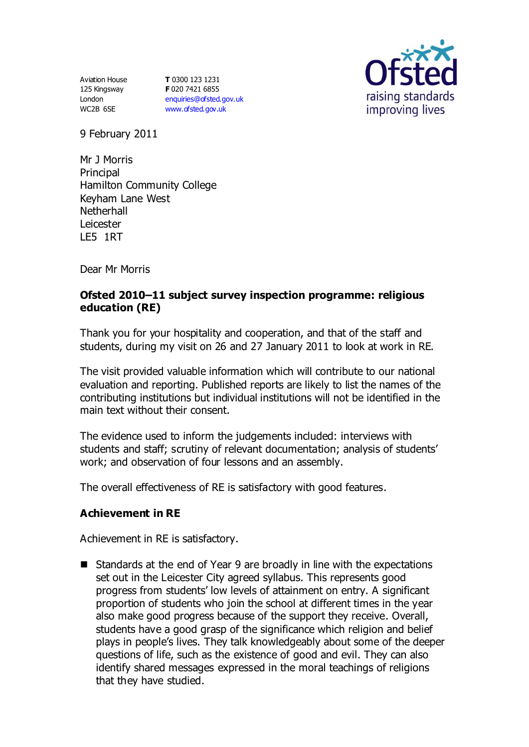Aviation House 125 Kingsway London WC2B 6SE

**T** 0300 123 1231 **F** 020 7421 6855 [enquiries@ofsted.gov.uk](mailto:enquiries@ofsted.gov.uk) [www.ofsted.gov.uk](http://www.ofsted.gov.uk/)



9 February 2011

Mr J Morris **Principal** Hamilton Community College Keyham Lane West **Netherhall** Leicester LE5 1RT

Dear Mr Morris

### **Ofsted 2010–11 subject survey inspection programme: religious education (RE)**

Thank you for your hospitality and cooperation, and that of the staff and students, during my visit on 26 and 27 January 2011 to look at work in RE.

The visit provided valuable information which will contribute to our national evaluation and reporting. Published reports are likely to list the names of the contributing institutions but individual institutions will not be identified in the main text without their consent.

The evidence used to inform the judgements included: interviews with students and staff; scrutiny of relevant documentation; analysis of students' work; and observation of four lessons and an assembly.

The overall effectiveness of RE is satisfactory with good features.

#### **Achievement in RE**

Achievement in RE is satisfactory.

■ Standards at the end of Year 9 are broadly in line with the expectations set out in the Leicester City agreed syllabus. This represents good progress from students' low levels of attainment on entry. A significant proportion of students who join the school at different times in the year also make good progress because of the support they receive. Overall, students have a good grasp of the significance which religion and belief plays in people's lives. They talk knowledgeably about some of the deeper questions of life, such as the existence of good and evil. They can also identify shared messages expressed in the moral teachings of religions that they have studied.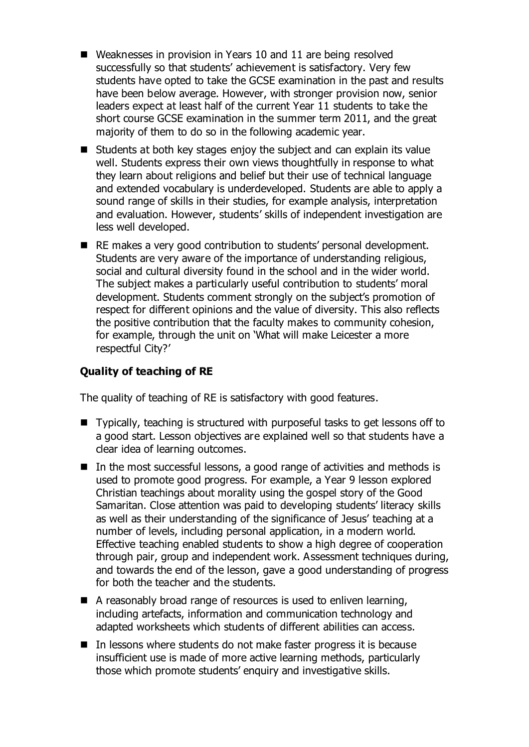- Weaknesses in provision in Years 10 and 11 are being resolved successfully so that students' achievement is satisfactory. Very few students have opted to take the GCSE examination in the past and results have been below average. However, with stronger provision now, senior leaders expect at least half of the current Year 11 students to take the short course GCSE examination in the summer term 2011, and the great majority of them to do so in the following academic year.
- Students at both key stages enjoy the subject and can explain its value well. Students express their own views thoughtfully in response to what they learn about religions and belief but their use of technical language and extended vocabulary is underdeveloped. Students are able to apply a sound range of skills in their studies, for example analysis, interpretation and evaluation. However, students' skills of independent investigation are less well developed.
- RE makes a very good contribution to students' personal development. Students are very aware of the importance of understanding religious, social and cultural diversity found in the school and in the wider world. The subject makes a particularly useful contribution to students' moral development. Students comment strongly on the subject's promotion of respect for different opinions and the value of diversity. This also reflects the positive contribution that the faculty makes to community cohesion, for example, through the unit on 'What will make Leicester a more respectful City?'

# **Quality of teaching of RE**

The quality of teaching of RE is satisfactory with good features.

- Typically, teaching is structured with purposeful tasks to get lessons off to a good start. Lesson objectives are explained well so that students have a clear idea of learning outcomes.
- $\blacksquare$  In the most successful lessons, a good range of activities and methods is used to promote good progress. For example, a Year 9 lesson explored Christian teachings about morality using the gospel story of the Good Samaritan. Close attention was paid to developing students' literacy skills as well as their understanding of the significance of Jesus' teaching at a number of levels, including personal application, in a modern world. Effective teaching enabled students to show a high degree of cooperation through pair, group and independent work. Assessment techniques during, and towards the end of the lesson, gave a good understanding of progress for both the teacher and the students.
- A reasonably broad range of resources is used to enliven learning, including artefacts, information and communication technology and adapted worksheets which students of different abilities can access.
- In lessons where students do not make faster progress it is because insufficient use is made of more active learning methods, particularly those which promote students' enquiry and investigative skills.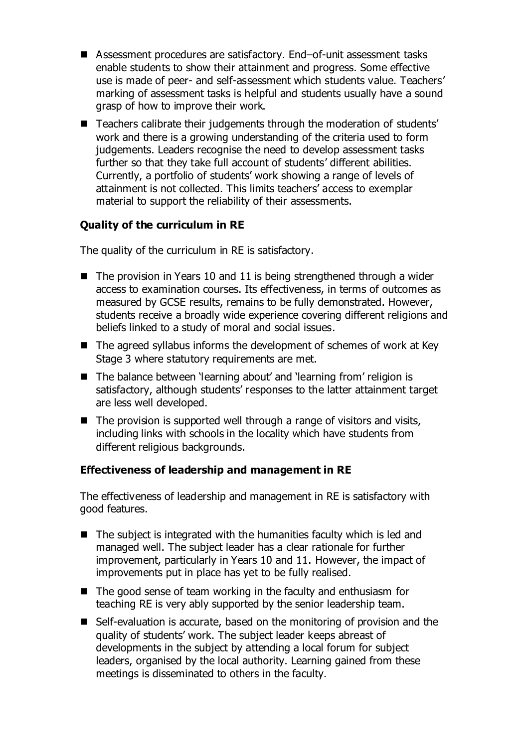- Assessment procedures are satisfactory. End–of-unit assessment tasks enable students to show their attainment and progress. Some effective use is made of peer- and self-assessment which students value. Teachers' marking of assessment tasks is helpful and students usually have a sound grasp of how to improve their work.
- Teachers calibrate their judgements through the moderation of students' work and there is a growing understanding of the criteria used to form judgements. Leaders recognise the need to develop assessment tasks further so that they take full account of students' different abilities. Currently, a portfolio of students' work showing a range of levels of attainment is not collected. This limits teachers' access to exemplar material to support the reliability of their assessments.

## **Quality of the curriculum in RE**

The quality of the curriculum in RE is satisfactory.

- $\blacksquare$  The provision in Years 10 and 11 is being strengthened through a wider access to examination courses. Its effectiveness, in terms of outcomes as measured by GCSE results, remains to be fully demonstrated. However, students receive a broadly wide experience covering different religions and beliefs linked to a study of moral and social issues.
- $\blacksquare$  The agreed syllabus informs the development of schemes of work at Key Stage 3 where statutory requirements are met.
- The balance between 'learning about' and 'learning from' religion is satisfactory, although students' responses to the latter attainment target are less well developed.
- $\blacksquare$  The provision is supported well through a range of visitors and visits, including links with schools in the locality which have students from different religious backgrounds.

#### **Effectiveness of leadership and management in RE**

The effectiveness of leadership and management in RE is satisfactory with good features.

- $\blacksquare$  The subject is integrated with the humanities faculty which is led and managed well. The subject leader has a clear rationale for further improvement, particularly in Years 10 and 11. However, the impact of improvements put in place has yet to be fully realised.
- $\blacksquare$  The good sense of team working in the faculty and enthusiasm for teaching RE is very ably supported by the senior leadership team.
- Self-evaluation is accurate, based on the monitoring of provision and the quality of students' work. The subject leader keeps abreast of developments in the subject by attending a local forum for subject leaders, organised by the local authority. Learning gained from these meetings is disseminated to others in the faculty.